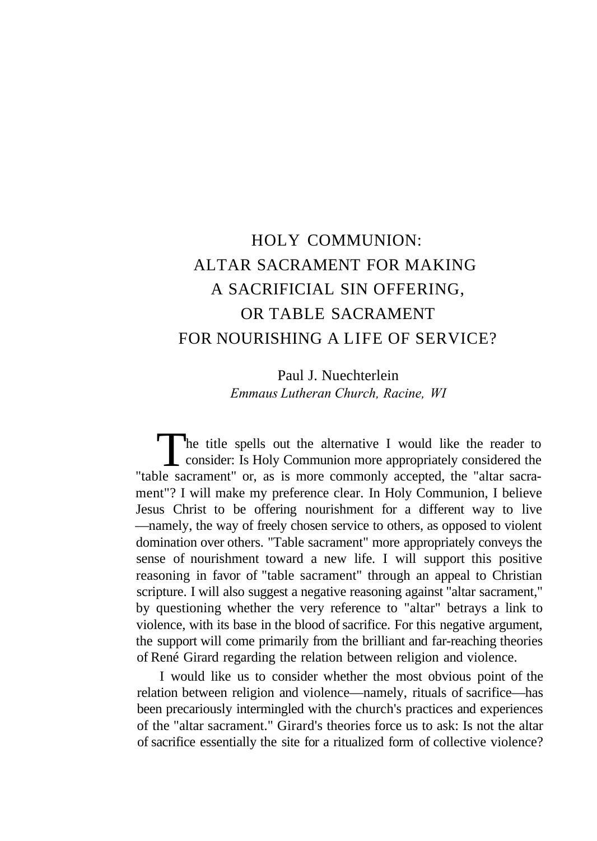# HOLY COMMUNION: ALTAR SACRAMENT FOR MAKING A SACRIFICIAL SIN OFFERING, OR TABLE SACRAMENT FOR NOURISHING A LIFE OF SERVICE?

Paul J. Nuechterlein *Emmaus Lutheran Church, Racine, WI*

 $\prod$ he title spells out the alternative I would like the reader to consider: Is Holy Communion more appropriately considered the "table sacrament" or, as is more commonly accepted, the "altar sacrament"? I will make my preference clear. In Holy Communion, I believe Jesus Christ to be offering nourishment for a different way to live —namely, the way of freely chosen service to others, as opposed to violent domination over others. "Table sacrament" more appropriately conveys the sense of nourishment toward a new life. I will support this positive reasoning in favor of "table sacrament" through an appeal to Christian scripture. I will also suggest a negative reasoning against "altar sacrament," by questioning whether the very reference to "altar" betrays a link to violence, with its base in the blood of sacrifice. For this negative argument, the support will come primarily from the brilliant and far-reaching theories of René Girard regarding the relation between religion and violence.

I would like us to consider whether the most obvious point of the relation between religion and violence—namely, rituals of sacrifice—has been precariously intermingled with the church's practices and experiences of the "altar sacrament." Girard's theories force us to ask: Is not the altar of sacrifice essentially the site for a ritualized form of collective violence?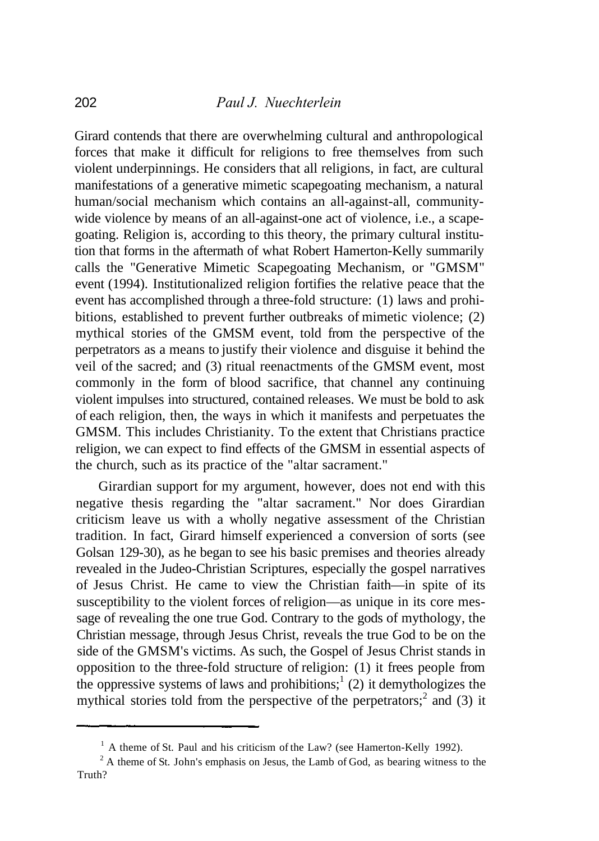#### 202 *Paul J. Nuechterlein*

Girard contends that there are overwhelming cultural and anthropological forces that make it difficult for religions to free themselves from such violent underpinnings. He considers that all religions, in fact, are cultural manifestations of a generative mimetic scapegoating mechanism, a natural human/social mechanism which contains an all-against-all, communitywide violence by means of an all-against-one act of violence, i.e., a scapegoating. Religion is, according to this theory, the primary cultural institution that forms in the aftermath of what Robert Hamerton-Kelly summarily calls the "Generative Mimetic Scapegoating Mechanism, or "GMSM" event (1994). Institutionalized religion fortifies the relative peace that the event has accomplished through a three-fold structure: (1) laws and prohibitions, established to prevent further outbreaks of mimetic violence; (2) mythical stories of the GMSM event, told from the perspective of the perpetrators as a means to justify their violence and disguise it behind the veil of the sacred; and (3) ritual reenactments of the GMSM event, most commonly in the form of blood sacrifice, that channel any continuing violent impulses into structured, contained releases. We must be bold to ask of each religion, then, the ways in which it manifests and perpetuates the GMSM. This includes Christianity. To the extent that Christians practice religion, we can expect to find effects of the GMSM in essential aspects of the church, such as its practice of the "altar sacrament."

Girardian support for my argument, however, does not end with this negative thesis regarding the "altar sacrament." Nor does Girardian criticism leave us with a wholly negative assessment of the Christian tradition. In fact, Girard himself experienced a conversion of sorts (see Golsan 129-30), as he began to see his basic premises and theories already revealed in the Judeo-Christian Scriptures, especially the gospel narratives of Jesus Christ. He came to view the Christian faith—in spite of its susceptibility to the violent forces of religion—as unique in its core message of revealing the one true God. Contrary to the gods of mythology, the Christian message, through Jesus Christ, reveals the true God to be on the side of the GMSM's victims. As such, the Gospel of Jesus Christ stands in opposition to the three-fold structure of religion: (1) it frees people from the oppressive systems of laws and prohibitions;<sup>1</sup> (2) it demythologizes the mythical stories told from the perspective of the perpetrators;<sup>2</sup> and (3) it

 $<sup>1</sup>$  A theme of St. Paul and his criticism of the Law? (see Hamerton-Kelly 1992).</sup>

 $2^2$  A theme of St. John's emphasis on Jesus, the Lamb of God, as bearing witness to the Truth?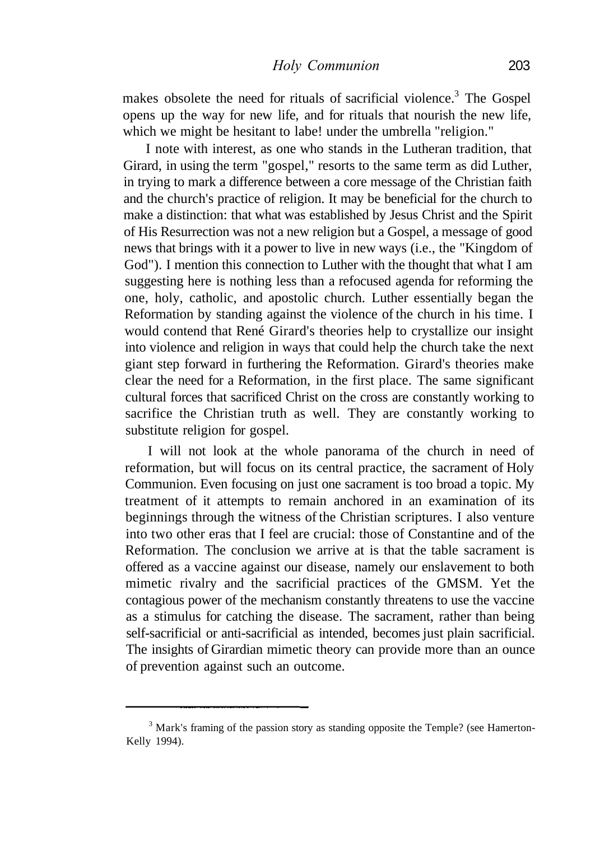makes obsolete the need for rituals of sacrificial violence.<sup>3</sup> The Gospel opens up the way for new life, and for rituals that nourish the new life, which we might be hesitant to labe! under the umbrella "religion."

I note with interest, as one who stands in the Lutheran tradition, that Girard, in using the term "gospel," resorts to the same term as did Luther, in trying to mark a difference between a core message of the Christian faith and the church's practice of religion. It may be beneficial for the church to make a distinction: that what was established by Jesus Christ and the Spirit of His Resurrection was not a new religion but a Gospel, a message of good news that brings with it a power to live in new ways (i.e., the "Kingdom of God"). I mention this connection to Luther with the thought that what I am suggesting here is nothing less than a refocused agenda for reforming the one, holy, catholic, and apostolic church. Luther essentially began the Reformation by standing against the violence of the church in his time. I would contend that René Girard's theories help to crystallize our insight into violence and religion in ways that could help the church take the next giant step forward in furthering the Reformation. Girard's theories make clear the need for a Reformation, in the first place. The same significant cultural forces that sacrificed Christ on the cross are constantly working to sacrifice the Christian truth as well. They are constantly working to substitute religion for gospel.

I will not look at the whole panorama of the church in need of reformation, but will focus on its central practice, the sacrament of Holy Communion. Even focusing on just one sacrament is too broad a topic. My treatment of it attempts to remain anchored in an examination of its beginnings through the witness of the Christian scriptures. I also venture into two other eras that I feel are crucial: those of Constantine and of the Reformation. The conclusion we arrive at is that the table sacrament is offered as a vaccine against our disease, namely our enslavement to both mimetic rivalry and the sacrificial practices of the GMSM. Yet the contagious power of the mechanism constantly threatens to use the vaccine as a stimulus for catching the disease. The sacrament, rather than being self-sacrificial or anti-sacrificial as intended, becomes just plain sacrificial. The insights of Girardian mimetic theory can provide more than an ounce of prevention against such an outcome.

<sup>&</sup>lt;sup>3</sup> Mark's framing of the passion story as standing opposite the Temple? (see Hamerton-Kelly 1994).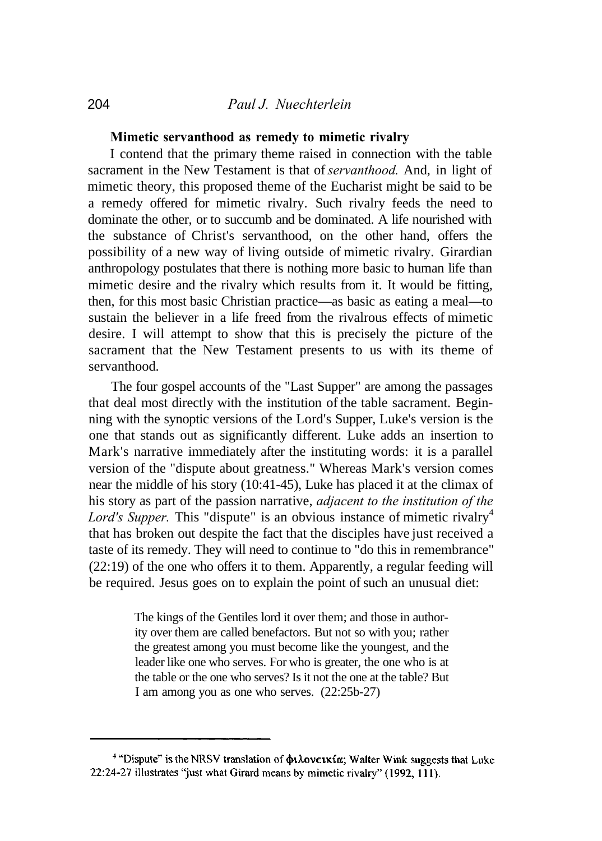#### **Mimetic servanthood as remedy to mimetic rivalry**

I contend that the primary theme raised in connection with the table sacrament in the New Testament is that of *servanthood.* And, in light of mimetic theory, this proposed theme of the Eucharist might be said to be a remedy offered for mimetic rivalry. Such rivalry feeds the need to dominate the other, or to succumb and be dominated. A life nourished with the substance of Christ's servanthood, on the other hand, offers the possibility of a new way of living outside of mimetic rivalry. Girardian anthropology postulates that there is nothing more basic to human life than mimetic desire and the rivalry which results from it. It would be fitting, then, for this most basic Christian practice—as basic as eating a meal—to sustain the believer in a life freed from the rivalrous effects of mimetic desire. I will attempt to show that this is precisely the picture of the sacrament that the New Testament presents to us with its theme of servanthood.

The four gospel accounts of the "Last Supper" are among the passages that deal most directly with the institution of the table sacrament. Beginning with the synoptic versions of the Lord's Supper, Luke's version is the one that stands out as significantly different. Luke adds an insertion to Mark's narrative immediately after the instituting words: it is a parallel version of the "dispute about greatness." Whereas Mark's version comes near the middle of his story (10:41-45), Luke has placed it at the climax of his story as part of the passion narrative, *adjacent to the institution of the Lord's Supper.* This "dispute" is an obvious instance of mimetic rivalry<sup>4</sup> that has broken out despite the fact that the disciples have just received a taste of its remedy. They will need to continue to "do this in remembrance" (22:19) of the one who offers it to them. Apparently, a regular feeding will be required. Jesus goes on to explain the point of such an unusual diet:

> The kings of the Gentiles lord it over them; and those in authority over them are called benefactors. But not so with you; rather the greatest among you must become like the youngest, and the leader like one who serves. For who is greater, the one who is at the table or the one who serves? Is it not the one at the table? But I am among you as one who serves. (22:25b-27)

<sup>&</sup>lt;sup>4</sup> "Dispute" is the NRSV translation of φιλονεικία; Walter Wink suggests that Luke 22:24-27 illustrates "just what Girard means by mimetic rivalry" (1992, 111).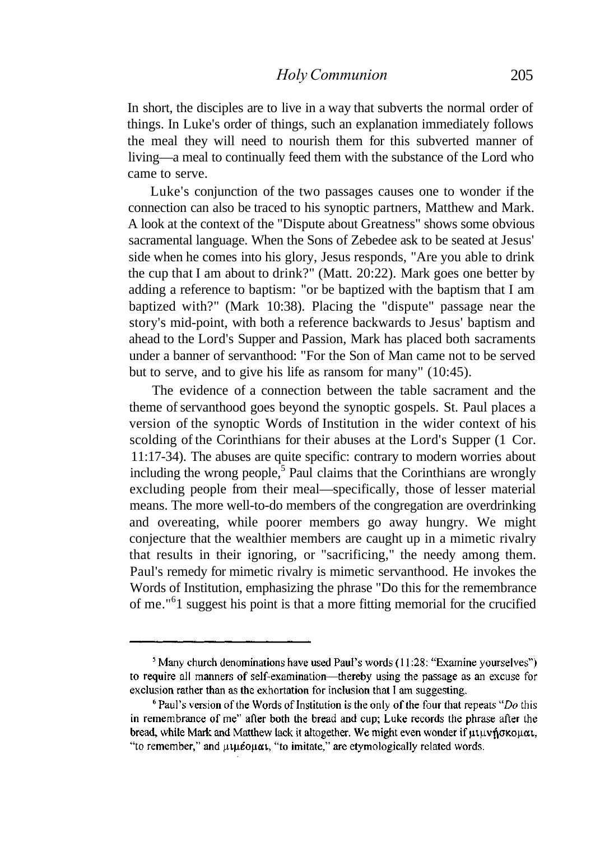In short, the disciples are to live in a way that subverts the normal order of things. In Luke's order of things, such an explanation immediately follows the meal they will need to nourish them for this subverted manner of living—a meal to continually feed them with the substance of the Lord who came to serve.

Luke's conjunction of the two passages causes one to wonder if the connection can also be traced to his synoptic partners, Matthew and Mark. A look at the context of the "Dispute about Greatness" shows some obvious sacramental language. When the Sons of Zebedee ask to be seated at Jesus' side when he comes into his glory, Jesus responds, "Are you able to drink the cup that I am about to drink?" (Matt. 20:22). Mark goes one better by adding a reference to baptism: "or be baptized with the baptism that I am baptized with?" (Mark 10:38). Placing the "dispute" passage near the story's mid-point, with both a reference backwards to Jesus' baptism and ahead to the Lord's Supper and Passion, Mark has placed both sacraments under a banner of servanthood: "For the Son of Man came not to be served but to serve, and to give his life as ransom for many" (10:45).

The evidence of a connection between the table sacrament and the theme of servanthood goes beyond the synoptic gospels. St. Paul places a version of the synoptic Words of Institution in the wider context of his scolding of the Corinthians for their abuses at the Lord's Supper (1 Cor. 11:17-34). The abuses are quite specific: contrary to modern worries about including the wrong people,<sup>5</sup> Paul claims that the Corinthians are wrongly excluding people from their meal—specifically, those of lesser material means. The more well-to-do members of the congregation are overdrinking and overeating, while poorer members go away hungry. We might conjecture that the wealthier members are caught up in a mimetic rivalry that results in their ignoring, or "sacrificing," the needy among them. Paul's remedy for mimetic rivalry is mimetic servanthood. He invokes the Words of Institution, emphasizing the phrase "Do this for the remembrance of me."<sup>6</sup> 1 suggest his point is that a more fitting memorial for the crucified

<sup>&</sup>lt;sup>5</sup> Many church denominations have used Paul's words (11:28: "Examine yourselves") to require all manners of self-examination-thereby using the passage as an excuse for exclusion rather than as the exhortation for inclusion that  $\overline{I}$  am suggesting.

 $6$  Paul's version of the Words of Institution is the only of the four that repeats "Do this in remembrance of me" after both the bread and cup; Luke records the phrase after the bread, while Mark and Matthew lack it altogether. We might even wonder if μιμνήσκομαι, "to remember," and μιμέσμαι, "to imitate," are etymologically related words.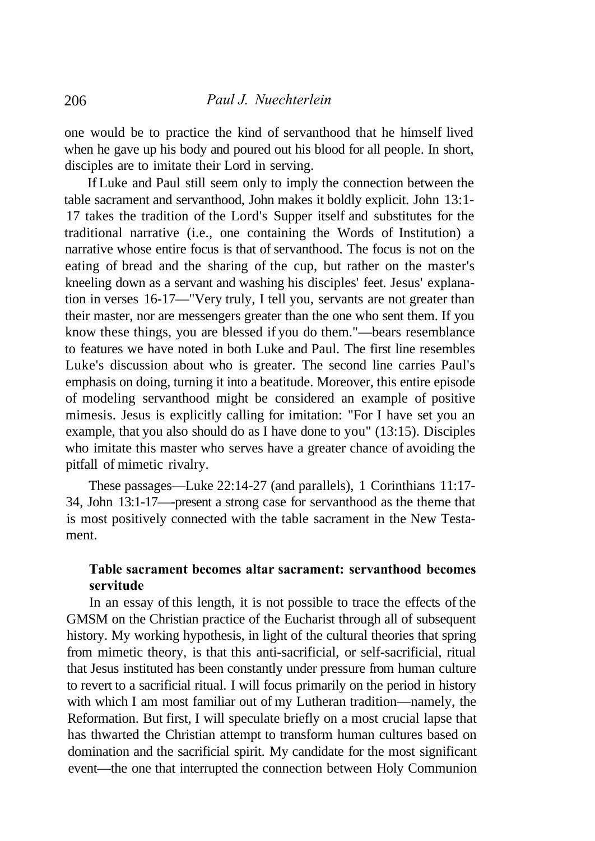one would be to practice the kind of servanthood that he himself lived when he gave up his body and poured out his blood for all people. In short, disciples are to imitate their Lord in serving.

If Luke and Paul still seem only to imply the connection between the table sacrament and servanthood, John makes it boldly explicit. John 13:1- 17 takes the tradition of the Lord's Supper itself and substitutes for the traditional narrative (i.e., one containing the Words of Institution) a narrative whose entire focus is that of servanthood. The focus is not on the eating of bread and the sharing of the cup, but rather on the master's kneeling down as a servant and washing his disciples' feet. Jesus' explanation in verses 16-17—"Very truly, I tell you, servants are not greater than their master, nor are messengers greater than the one who sent them. If you know these things, you are blessed if you do them."—bears resemblance to features we have noted in both Luke and Paul. The first line resembles Luke's discussion about who is greater. The second line carries Paul's emphasis on doing, turning it into a beatitude. Moreover, this entire episode of modeling servanthood might be considered an example of positive mimesis. Jesus is explicitly calling for imitation: "For I have set you an example, that you also should do as I have done to you" (13:15). Disciples who imitate this master who serves have a greater chance of avoiding the pitfall of mimetic rivalry.

These passages—Luke 22:14-27 (and parallels), 1 Corinthians 11:17- 34, John 13:1-17—-present a strong case for servanthood as the theme that is most positively connected with the table sacrament in the New Testament.

# **Table sacrament becomes altar sacrament: servanthood becomes servitude**

In an essay of this length, it is not possible to trace the effects of the GMSM on the Christian practice of the Eucharist through all of subsequent history. My working hypothesis, in light of the cultural theories that spring from mimetic theory, is that this anti-sacrificial, or self-sacrificial, ritual that Jesus instituted has been constantly under pressure from human culture to revert to a sacrificial ritual. I will focus primarily on the period in history with which I am most familiar out of my Lutheran tradition—namely, the Reformation. But first, I will speculate briefly on a most crucial lapse that has thwarted the Christian attempt to transform human cultures based on domination and the sacrificial spirit. My candidate for the most significant event—the one that interrupted the connection between Holy Communion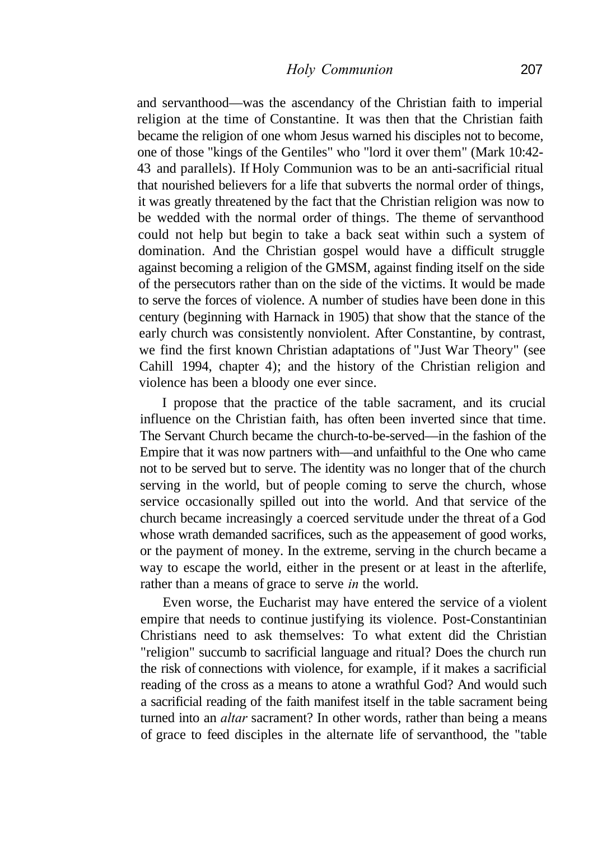and servanthood—was the ascendancy of the Christian faith to imperial religion at the time of Constantine. It was then that the Christian faith became the religion of one whom Jesus warned his disciples not to become, one of those "kings of the Gentiles" who "lord it over them" (Mark 10:42- 43 and parallels). If Holy Communion was to be an anti-sacrificial ritual that nourished believers for a life that subverts the normal order of things, it was greatly threatened by the fact that the Christian religion was now to be wedded with the normal order of things. The theme of servanthood could not help but begin to take a back seat within such a system of domination. And the Christian gospel would have a difficult struggle against becoming a religion of the GMSM, against finding itself on the side of the persecutors rather than on the side of the victims. It would be made to serve the forces of violence. A number of studies have been done in this century (beginning with Harnack in 1905) that show that the stance of the early church was consistently nonviolent. After Constantine, by contrast, we find the first known Christian adaptations of "Just War Theory" (see Cahill 1994, chapter 4); and the history of the Christian religion and violence has been a bloody one ever since.

I propose that the practice of the table sacrament, and its crucial influence on the Christian faith, has often been inverted since that time. The Servant Church became the church-to-be-served—in the fashion of the Empire that it was now partners with—and unfaithful to the One who came not to be served but to serve. The identity was no longer that of the church serving in the world, but of people coming to serve the church, whose service occasionally spilled out into the world. And that service of the church became increasingly a coerced servitude under the threat of a God whose wrath demanded sacrifices, such as the appeasement of good works, or the payment of money. In the extreme, serving in the church became a way to escape the world, either in the present or at least in the afterlife, rather than a means of grace to serve *in* the world.

Even worse, the Eucharist may have entered the service of a violent empire that needs to continue justifying its violence. Post-Constantinian Christians need to ask themselves: To what extent did the Christian "religion" succumb to sacrificial language and ritual? Does the church run the risk of connections with violence, for example, if it makes a sacrificial reading of the cross as a means to atone a wrathful God? And would such a sacrificial reading of the faith manifest itself in the table sacrament being turned into an *altar* sacrament? In other words, rather than being a means of grace to feed disciples in the alternate life of servanthood, the "table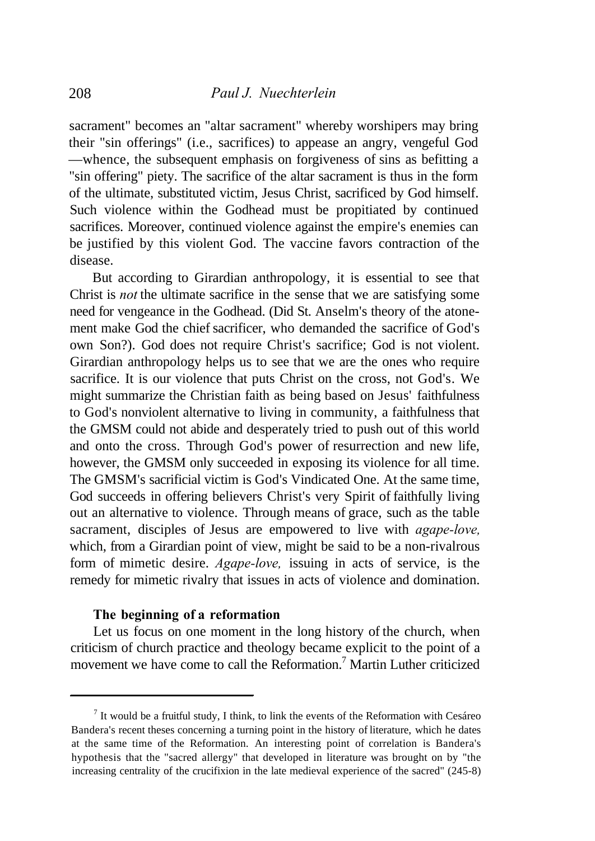sacrament" becomes an "altar sacrament" whereby worshipers may bring their "sin offerings" (i.e., sacrifices) to appease an angry, vengeful God —whence, the subsequent emphasis on forgiveness of sins as befitting a "sin offering" piety. The sacrifice of the altar sacrament is thus in the form of the ultimate, substituted victim, Jesus Christ, sacrificed by God himself. Such violence within the Godhead must be propitiated by continued sacrifices. Moreover, continued violence against the empire's enemies can be justified by this violent God. The vaccine favors contraction of the disease.

But according to Girardian anthropology, it is essential to see that Christ is *not* the ultimate sacrifice in the sense that we are satisfying some need for vengeance in the Godhead. (Did St. Anselm's theory of the atonement make God the chief sacrificer, who demanded the sacrifice of God's own Son?). God does not require Christ's sacrifice; God is not violent. Girardian anthropology helps us to see that we are the ones who require sacrifice. It is our violence that puts Christ on the cross, not God's. We might summarize the Christian faith as being based on Jesus' faithfulness to God's nonviolent alternative to living in community, a faithfulness that the GMSM could not abide and desperately tried to push out of this world and onto the cross. Through God's power of resurrection and new life, however, the GMSM only succeeded in exposing its violence for all time. The GMSM's sacrificial victim is God's Vindicated One. At the same time, God succeeds in offering believers Christ's very Spirit of faithfully living out an alternative to violence. Through means of grace, such as the table sacrament, disciples of Jesus are empowered to live with *agape-love,* which, from a Girardian point of view, might be said to be a non-rivalrous form of mimetic desire. *Agape-love,* issuing in acts of service, is the remedy for mimetic rivalry that issues in acts of violence and domination.

## **The beginning of a reformation**

Let us focus on one moment in the long history of the church, when criticism of church practice and theology became explicit to the point of a movement we have come to call the Reformation.<sup>7</sup> Martin Luther criticized

 $<sup>7</sup>$  It would be a fruitful study, I think, to link the events of the Reformation with Cesáreo</sup> Bandera's recent theses concerning a turning point in the history of literature, which he dates at the same time of the Reformation. An interesting point of correlation is Bandera's hypothesis that the "sacred allergy" that developed in literature was brought on by "the increasing centrality of the crucifixion in the late medieval experience of the sacred" (245-8)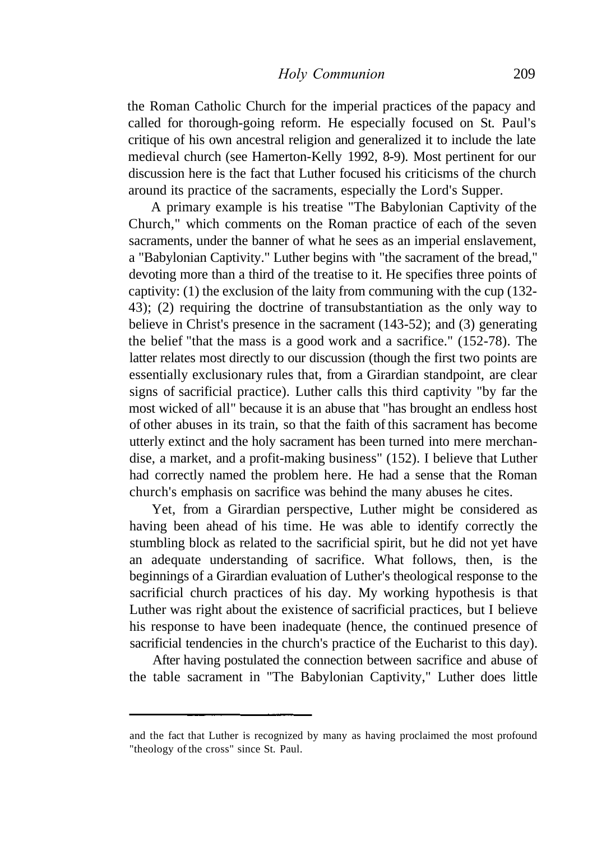the Roman Catholic Church for the imperial practices of the papacy and called for thorough-going reform. He especially focused on St. Paul's critique of his own ancestral religion and generalized it to include the late medieval church (see Hamerton-Kelly 1992, 8-9). Most pertinent for our discussion here is the fact that Luther focused his criticisms of the church around its practice of the sacraments, especially the Lord's Supper.

A primary example is his treatise "The Babylonian Captivity of the Church," which comments on the Roman practice of each of the seven sacraments, under the banner of what he sees as an imperial enslavement, a "Babylonian Captivity." Luther begins with "the sacrament of the bread," devoting more than a third of the treatise to it. He specifies three points of captivity: (1) the exclusion of the laity from communing with the cup (132- 43); (2) requiring the doctrine of transubstantiation as the only way to believe in Christ's presence in the sacrament (143-52); and (3) generating the belief "that the mass is a good work and a sacrifice." (152-78). The latter relates most directly to our discussion (though the first two points are essentially exclusionary rules that, from a Girardian standpoint, are clear signs of sacrificial practice). Luther calls this third captivity "by far the most wicked of all" because it is an abuse that "has brought an endless host of other abuses in its train, so that the faith of this sacrament has become utterly extinct and the holy sacrament has been turned into mere merchandise, a market, and a profit-making business" (152). I believe that Luther had correctly named the problem here. He had a sense that the Roman church's emphasis on sacrifice was behind the many abuses he cites.

Yet, from a Girardian perspective, Luther might be considered as having been ahead of his time. He was able to identify correctly the stumbling block as related to the sacrificial spirit, but he did not yet have an adequate understanding of sacrifice. What follows, then, is the beginnings of a Girardian evaluation of Luther's theological response to the sacrificial church practices of his day. My working hypothesis is that Luther was right about the existence of sacrificial practices, but I believe his response to have been inadequate (hence, the continued presence of sacrificial tendencies in the church's practice of the Eucharist to this day).

After having postulated the connection between sacrifice and abuse of the table sacrament in "The Babylonian Captivity," Luther does little

and the fact that Luther is recognized by many as having proclaimed the most profound "theology of the cross" since St. Paul.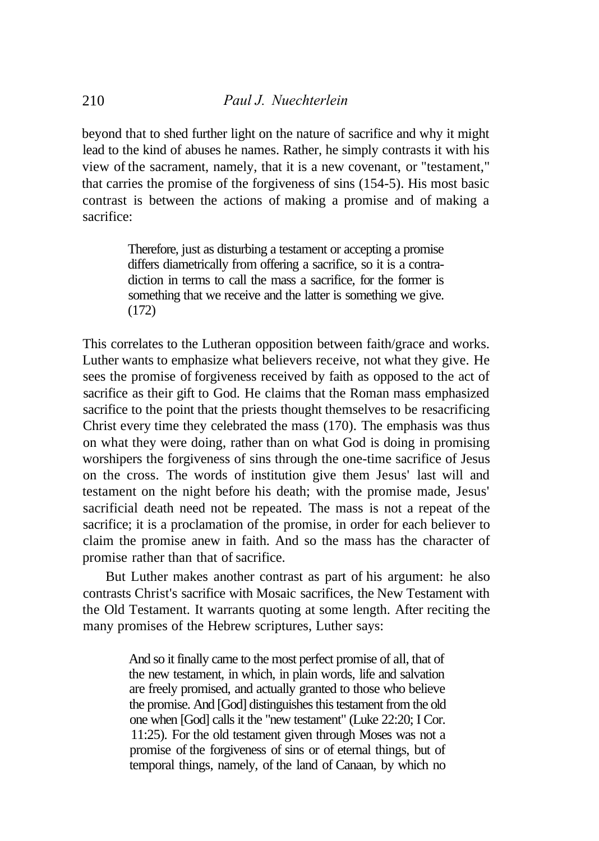beyond that to shed further light on the nature of sacrifice and why it might lead to the kind of abuses he names. Rather, he simply contrasts it with his view of the sacrament, namely, that it is a new covenant, or "testament," that carries the promise of the forgiveness of sins (154-5). His most basic contrast is between the actions of making a promise and of making a sacrifice:

> Therefore, just as disturbing a testament or accepting a promise differs diametrically from offering a sacrifice, so it is a contradiction in terms to call the mass a sacrifice, for the former is something that we receive and the latter is something we give. (172)

This correlates to the Lutheran opposition between faith/grace and works. Luther wants to emphasize what believers receive, not what they give. He sees the promise of forgiveness received by faith as opposed to the act of sacrifice as their gift to God. He claims that the Roman mass emphasized sacrifice to the point that the priests thought themselves to be resacrificing Christ every time they celebrated the mass (170). The emphasis was thus on what they were doing, rather than on what God is doing in promising worshipers the forgiveness of sins through the one-time sacrifice of Jesus on the cross. The words of institution give them Jesus' last will and testament on the night before his death; with the promise made, Jesus' sacrificial death need not be repeated. The mass is not a repeat of the sacrifice; it is a proclamation of the promise, in order for each believer to claim the promise anew in faith. And so the mass has the character of promise rather than that of sacrifice.

But Luther makes another contrast as part of his argument: he also contrasts Christ's sacrifice with Mosaic sacrifices, the New Testament with the Old Testament. It warrants quoting at some length. After reciting the many promises of the Hebrew scriptures, Luther says:

> And so it finally came to the most perfect promise of all, that of the new testament, in which, in plain words, life and salvation are freely promised, and actually granted to those who believe the promise. And [God] distinguishes this testament from the old one when [God] calls it the "new testament" (Luke 22:20; I Cor. 11:25). For the old testament given through Moses was not a promise of the forgiveness of sins or of eternal things, but of temporal things, namely, of the land of Canaan, by which no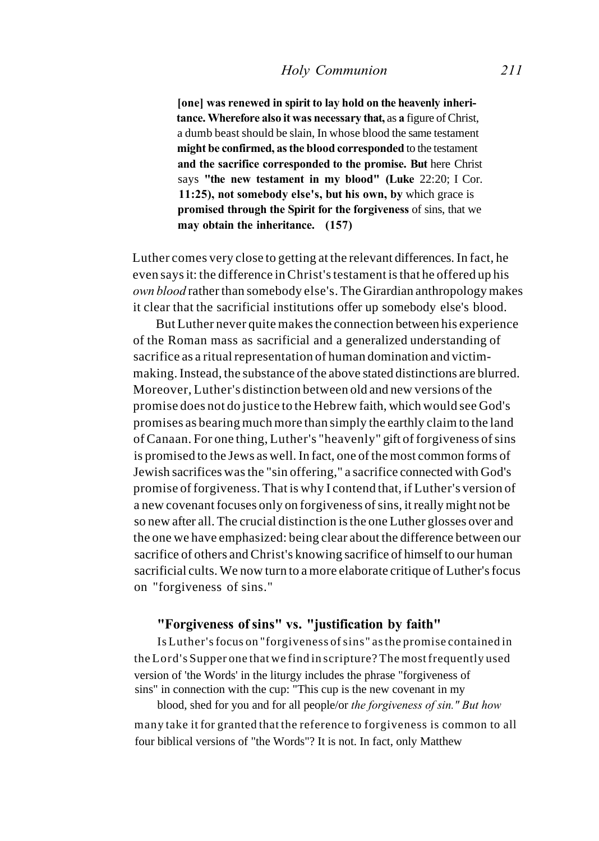**[one] was renewed in spirit to lay hold on the heavenly inheritance. Wherefore also it was necessary that,** as **a** figure of Christ, a dumb beast should be slain, In whose blood the same testament **might be confirmed, as the blood corresponded** to the testament **and the sacrifice corresponded to the promise. But** here Christ says **"the new testament in my blood" (Luke** 22:20; I Cor. **11:25), not somebody else's, but his own, by** which grace is **promised through the Spirit for the forgiveness** of sins, that we **may obtain the inheritance. (157)**

Luther comes very close to getting at the relevant differences. In fact, he even says it: the difference in Christ's testament is that he offered up his *own blood* rather than somebody else's. The Girardian anthropology makes it clear that the sacrificial institutions offer up somebody else's blood.

But Luther never quite makes the connection between his experience of the Roman mass as sacrificial and a generalized understanding of sacrifice as a ritual representation of human domination and victimmaking. Instead, the substance of the above stated distinctions are blurred. Moreover, Luther's distinction between old and new versions of the promise does not do justice to the Hebrew faith, which would see God's promises as bearing much more than simply the earthly claim to the land of Canaan. For one thing, Luther's "heavenly" gift of forgiveness of sins is promised to the Jews as well. In fact, one of the most common forms of Jewish sacrifices was the "sin offering," a sacrifice connected with God's promise of forgiveness. That is why I contend that, if Luther's version of a new covenant focuses only on forgiveness of sins, it really might not be so new after all. The crucial distinction is the one Luther glosses over and the one we have emphasized: being clear about the difference between our sacrifice of others and Christ's knowing sacrifice of himself to our human sacrificial cults. We now turn to a more elaborate critique of Luther's focus on "forgiveness of sins."

#### **"Forgiveness of sins" vs. "justification by faith"**

Is Luther's focus on "forgiveness of sins" as the promise contained in the Lord's Supper one that we find in scripture? The most frequently used version of 'the Words' in the liturgy includes the phrase "forgiveness of sins" in connection with the cup: "This cup is the new covenant in my

blood, shed for you and for all people/or *the forgiveness of sin." But how* many take it for granted that the reference to forgiveness is common to all four biblical versions of "the Words"? It is not. In fact, only Matthew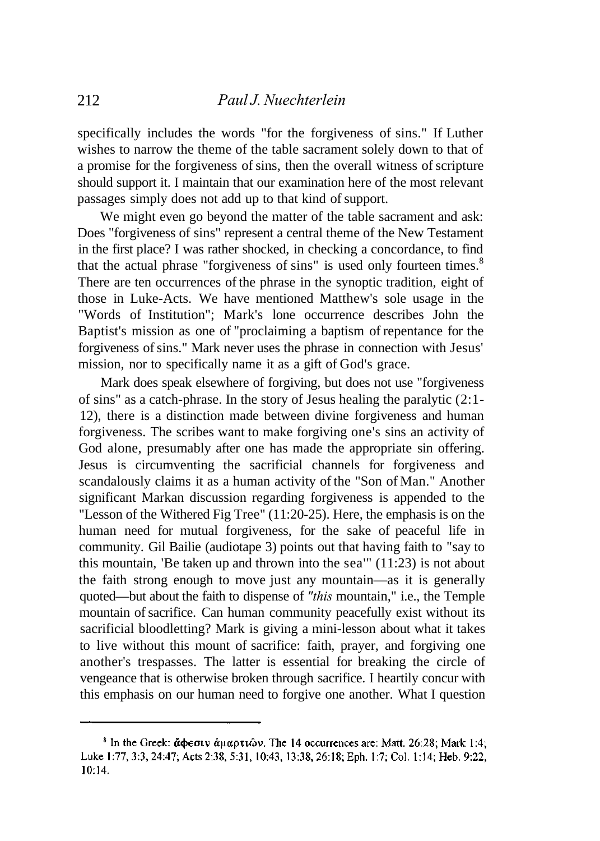specifically includes the words "for the forgiveness of sins." If Luther wishes to narrow the theme of the table sacrament solely down to that of a promise for the forgiveness of sins, then the overall witness of scripture should support it. I maintain that our examination here of the most relevant passages simply does not add up to that kind of support.

We might even go beyond the matter of the table sacrament and ask: Does "forgiveness of sins" represent a central theme of the New Testament in the first place? I was rather shocked, in checking a concordance, to find that the actual phrase "forgiveness of sins" is used only fourteen times. $8$ There are ten occurrences of the phrase in the synoptic tradition, eight of those in Luke-Acts. We have mentioned Matthew's sole usage in the "Words of Institution"; Mark's lone occurrence describes John the Baptist's mission as one of "proclaiming a baptism of repentance for the forgiveness of sins." Mark never uses the phrase in connection with Jesus' mission, nor to specifically name it as a gift of God's grace.

Mark does speak elsewhere of forgiving, but does not use "forgiveness of sins" as a catch-phrase. In the story of Jesus healing the paralytic (2:1- 12), there is a distinction made between divine forgiveness and human forgiveness. The scribes want to make forgiving one's sins an activity of God alone, presumably after one has made the appropriate sin offering. Jesus is circumventing the sacrificial channels for forgiveness and scandalously claims it as a human activity of the "Son of Man." Another significant Markan discussion regarding forgiveness is appended to the "Lesson of the Withered Fig Tree" (11:20-25). Here, the emphasis is on the human need for mutual forgiveness, for the sake of peaceful life in community. Gil Bailie (audiotape 3) points out that having faith to "say to this mountain, 'Be taken up and thrown into the sea'" (11:23) is not about the faith strong enough to move just any mountain—as it is generally quoted—but about the faith to dispense of *"this* mountain," i.e., the Temple mountain of sacrifice. Can human community peacefully exist without its sacrificial bloodletting? Mark is giving a mini-lesson about what it takes to live without this mount of sacrifice: faith, prayer, and forgiving one another's trespasses. The latter is essential for breaking the circle of vengeance that is otherwise broken through sacrifice. I heartily concur with this emphasis on our human need to forgive one another. What I question

<sup>&</sup>lt;sup>8</sup> In the Greek: άφεσιν άμαρτιών. The 14 occurrences are: Matt. 26:28; Mark 1:4; Luke 1:77, 3:3, 24:47; Acts 2:38, 5:31, 10:43, 13:38, 26:18; Eph. 1:7; Col. 1:14; Heb. 9:22,  $10:14.$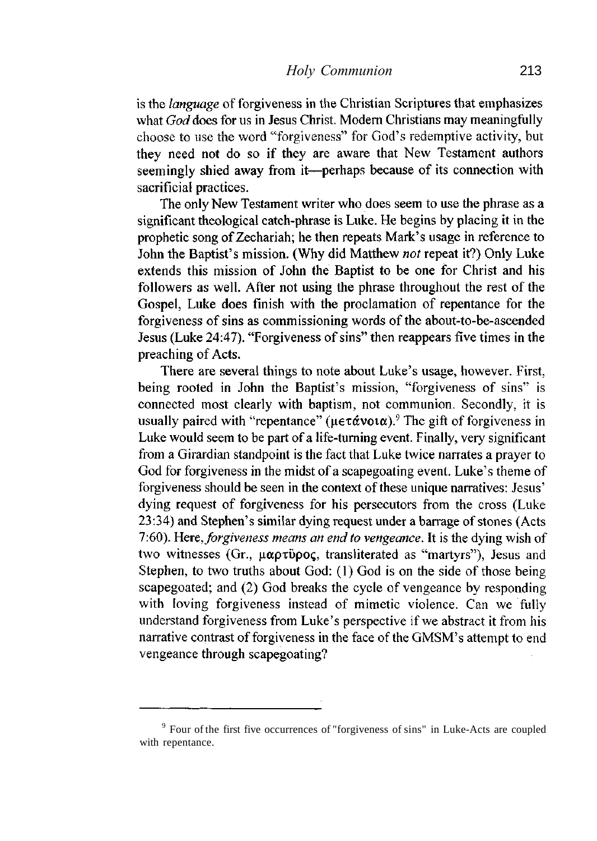is the language of forgiveness in the Christian Scriptures that emphasizes what God does for us in Jesus Christ. Modern Christians may meaningfully choose to use the word "forgiveness" for God's redemptive activity, but they need not do so if they are aware that New Testament authors seemingly shied away from it-perhaps because of its connection with sacrificial practices.

The only New Testament writer who does seem to use the phrase as a significant theological catch-phrase is Luke. He begins by placing it in the prophetic song of Zechariah; he then repeats Mark's usage in reference to John the Baptist's mission. (Why did Matthew not repeat it?) Only Luke extends this mission of John the Baptist to be one for Christ and his followers as well. After not using the phrase throughout the rest of the Gospel, Luke does finish with the proclamation of repentance for the forgiveness of sins as commissioning words of the about-to-be-ascended Jesus (Luke 24:47). "Forgiveness of sins" then reappears five times in the preaching of Acts.

There are several things to note about Luke's usage, however. First, being rooted in John the Baptist's mission, "forgiveness of sins" is connected most clearly with baptism, not communion. Secondly, it is usually paired with "repentance" ( $\mu \in \mathfrak{r}$ &vot $\alpha$ ).<sup>9</sup> The gift of forgiveness in Luke would seem to be part of a life-turning event. Finally, very significant from a Girardian standpoint is the fact that Luke twice narrates a prayer to God for forgiveness in the midst of a scapegoating event. Luke's theme of forgiveness should be seen in the context of these unique narratives: Jesus' dying request of forgiveness for his persecutors from the cross (Luke 23:34) and Stephen's similar dying request under a barrage of stones (Acts 7:60). Here, forgiveness means an end to vengeance. It is the dying wish of two witnesses (Gr., μαρτύρος, transliterated as "martyrs"), Jesus and Stephen, to two truths about God: (1) God is on the side of those being scapegoated; and (2) God breaks the cycle of vengeance by responding with loving forgiveness instead of mimetic violence. Can we fully understand forgiveness from Luke's perspective if we abstract it from his narrative contrast of forgiveness in the face of the GMSM's attempt to end vengeance through scapegoating?

<sup>&</sup>lt;sup>9</sup> Four of the first five occurrences of "forgiveness of sins" in Luke-Acts are coupled with repentance.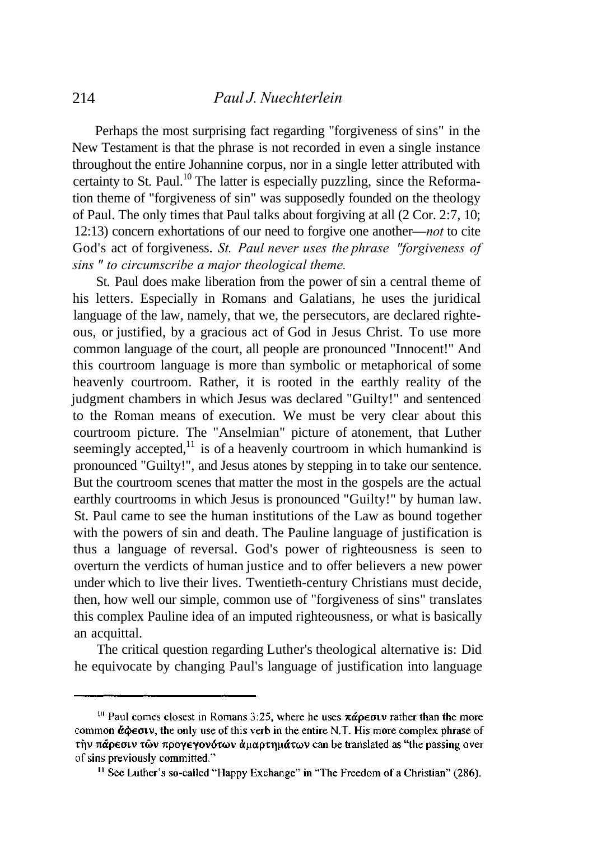Perhaps the most surprising fact regarding "forgiveness of sins" in the New Testament is that the phrase is not recorded in even a single instance throughout the entire Johannine corpus, nor in a single letter attributed with certainty to St. Paul.<sup>10</sup> The latter is especially puzzling, since the Reformation theme of "forgiveness of sin" was supposedly founded on the theology of Paul. The only times that Paul talks about forgiving at all (2 Cor. 2:7, 10; 12:13) concern exhortations of our need to forgive one another—*not* to cite God's act of forgiveness. *St. Paul never uses the phrase "forgiveness of sins " to circumscribe a major theological theme.*

St. Paul does make liberation from the power of sin a central theme of his letters. Especially in Romans and Galatians, he uses the juridical language of the law, namely, that we, the persecutors, are declared righteous, or justified, by a gracious act of God in Jesus Christ. To use more common language of the court, all people are pronounced "Innocent!" And this courtroom language is more than symbolic or metaphorical of some heavenly courtroom. Rather, it is rooted in the earthly reality of the judgment chambers in which Jesus was declared "Guilty!" and sentenced to the Roman means of execution. We must be very clear about this courtroom picture. The "Anselmian" picture of atonement, that Luther seemingly accepted, $11$  is of a heavenly courtroom in which humankind is pronounced "Guilty!", and Jesus atones by stepping in to take our sentence. But the courtroom scenes that matter the most in the gospels are the actual earthly courtrooms in which Jesus is pronounced "Guilty!" by human law. St. Paul came to see the human institutions of the Law as bound together with the powers of sin and death. The Pauline language of justification is thus a language of reversal. God's power of righteousness is seen to overturn the verdicts of human justice and to offer believers a new power under which to live their lives. Twentieth-century Christians must decide, then, how well our simple, common use of "forgiveness of sins" translates this complex Pauline idea of an imputed righteousness, or what is basically an acquittal.

The critical question regarding Luther's theological alternative is: Did he equivocate by changing Paul's language of justification into language

<sup>&</sup>lt;sup>10</sup> Paul comes closest in Romans 3:25, where he uses  $\pi \hat{\alpha} \rho \in \sigma \nu$  rather than the more την πάρεσιν των προγεγονότων άμαρτημάτων can be translated as "the passing over of sins previously committed."

<sup>&</sup>lt;sup>11</sup> See Luther's so-called "Happy Exchange" in "The Freedom of a Christian" (286).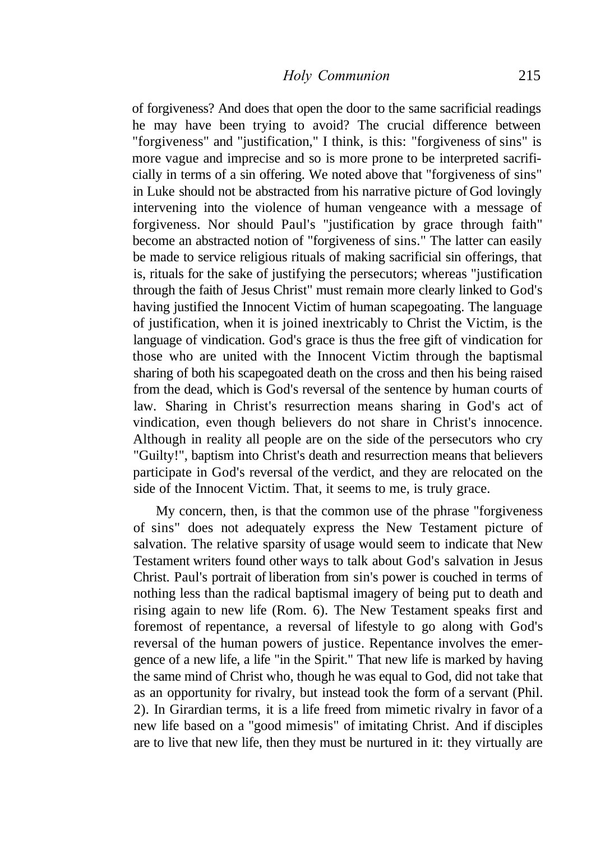of forgiveness? And does that open the door to the same sacrificial readings he may have been trying to avoid? The crucial difference between "forgiveness" and "justification," I think, is this: "forgiveness of sins" is more vague and imprecise and so is more prone to be interpreted sacrificially in terms of a sin offering. We noted above that "forgiveness of sins" in Luke should not be abstracted from his narrative picture of God lovingly intervening into the violence of human vengeance with a message of forgiveness. Nor should Paul's "justification by grace through faith" become an abstracted notion of "forgiveness of sins." The latter can easily be made to service religious rituals of making sacrificial sin offerings, that is, rituals for the sake of justifying the persecutors; whereas "justification through the faith of Jesus Christ" must remain more clearly linked to God's having justified the Innocent Victim of human scapegoating. The language of justification, when it is joined inextricably to Christ the Victim, is the language of vindication. God's grace is thus the free gift of vindication for those who are united with the Innocent Victim through the baptismal sharing of both his scapegoated death on the cross and then his being raised from the dead, which is God's reversal of the sentence by human courts of law. Sharing in Christ's resurrection means sharing in God's act of vindication, even though believers do not share in Christ's innocence. Although in reality all people are on the side of the persecutors who cry "Guilty!", baptism into Christ's death and resurrection means that believers participate in God's reversal of the verdict, and they are relocated on the side of the Innocent Victim. That, it seems to me, is truly grace.

My concern, then, is that the common use of the phrase "forgiveness of sins" does not adequately express the New Testament picture of salvation. The relative sparsity of usage would seem to indicate that New Testament writers found other ways to talk about God's salvation in Jesus Christ. Paul's portrait of liberation from sin's power is couched in terms of nothing less than the radical baptismal imagery of being put to death and rising again to new life (Rom. 6). The New Testament speaks first and foremost of repentance, a reversal of lifestyle to go along with God's reversal of the human powers of justice. Repentance involves the emergence of a new life, a life "in the Spirit." That new life is marked by having the same mind of Christ who, though he was equal to God, did not take that as an opportunity for rivalry, but instead took the form of a servant (Phil. 2). In Girardian terms, it is a life freed from mimetic rivalry in favor of a new life based on a "good mimesis" of imitating Christ. And if disciples are to live that new life, then they must be nurtured in it: they virtually are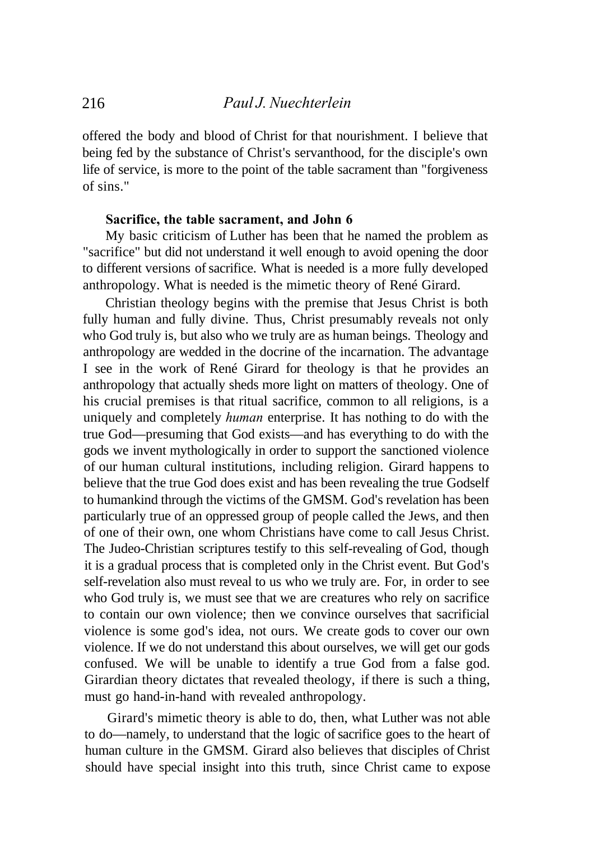offered the body and blood of Christ for that nourishment. I believe that being fed by the substance of Christ's servanthood, for the disciple's own life of service, is more to the point of the table sacrament than "forgiveness of sins."

#### **Sacrifice, the table sacrament, and John 6**

My basic criticism of Luther has been that he named the problem as "sacrifice" but did not understand it well enough to avoid opening the door to different versions of sacrifice. What is needed is a more fully developed anthropology. What is needed is the mimetic theory of René Girard.

Christian theology begins with the premise that Jesus Christ is both fully human and fully divine. Thus, Christ presumably reveals not only who God truly is, but also who we truly are as human beings. Theology and anthropology are wedded in the docrine of the incarnation. The advantage I see in the work of René Girard for theology is that he provides an anthropology that actually sheds more light on matters of theology. One of his crucial premises is that ritual sacrifice, common to all religions, is a uniquely and completely *human* enterprise. It has nothing to do with the true God—presuming that God exists—and has everything to do with the gods we invent mythologically in order to support the sanctioned violence of our human cultural institutions, including religion. Girard happens to believe that the true God does exist and has been revealing the true Godself to humankind through the victims of the GMSM. God's revelation has been particularly true of an oppressed group of people called the Jews, and then of one of their own, one whom Christians have come to call Jesus Christ. The Judeo-Christian scriptures testify to this self-revealing of God, though it is a gradual process that is completed only in the Christ event. But God's self-revelation also must reveal to us who we truly are. For, in order to see who God truly is, we must see that we are creatures who rely on sacrifice to contain our own violence; then we convince ourselves that sacrificial violence is some god's idea, not ours. We create gods to cover our own violence. If we do not understand this about ourselves, we will get our gods confused. We will be unable to identify a true God from a false god. Girardian theory dictates that revealed theology, if there is such a thing, must go hand-in-hand with revealed anthropology.

Girard's mimetic theory is able to do, then, what Luther was not able to do—namely, to understand that the logic of sacrifice goes to the heart of human culture in the GMSM. Girard also believes that disciples of Christ should have special insight into this truth, since Christ came to expose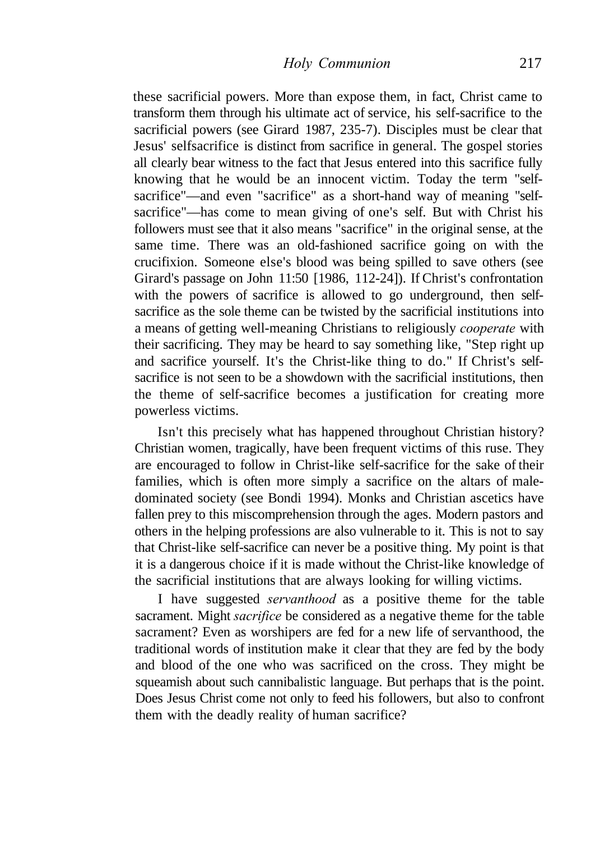these sacrificial powers. More than expose them, in fact, Christ came to transform them through his ultimate act of service, his self-sacrifice to the sacrificial powers (see Girard 1987, 235-7). Disciples must be clear that Jesus' selfsacrifice is distinct from sacrifice in general. The gospel stories all clearly bear witness to the fact that Jesus entered into this sacrifice fully knowing that he would be an innocent victim. Today the term "selfsacrifice"—and even "sacrifice" as a short-hand way of meaning "selfsacrifice"—has come to mean giving of one's self. But with Christ his followers must see that it also means "sacrifice" in the original sense, at the same time. There was an old-fashioned sacrifice going on with the crucifixion. Someone else's blood was being spilled to save others (see Girard's passage on John 11:50 [1986, 112-24]). If Christ's confrontation with the powers of sacrifice is allowed to go underground, then selfsacrifice as the sole theme can be twisted by the sacrificial institutions into a means of getting well-meaning Christians to religiously *cooperate* with their sacrificing. They may be heard to say something like, "Step right up and sacrifice yourself. It's the Christ-like thing to do." If Christ's selfsacrifice is not seen to be a showdown with the sacrificial institutions, then the theme of self-sacrifice becomes a justification for creating more powerless victims.

Isn't this precisely what has happened throughout Christian history? Christian women, tragically, have been frequent victims of this ruse. They are encouraged to follow in Christ-like self-sacrifice for the sake of their families, which is often more simply a sacrifice on the altars of maledominated society (see Bondi 1994). Monks and Christian ascetics have fallen prey to this miscomprehension through the ages. Modern pastors and others in the helping professions are also vulnerable to it. This is not to say that Christ-like self-sacrifice can never be a positive thing. My point is that it is a dangerous choice if it is made without the Christ-like knowledge of the sacrificial institutions that are always looking for willing victims.

I have suggested *servanthood* as a positive theme for the table sacrament. Might *sacrifice* be considered as a negative theme for the table sacrament? Even as worshipers are fed for a new life of servanthood, the traditional words of institution make it clear that they are fed by the body and blood of the one who was sacrificed on the cross. They might be squeamish about such cannibalistic language. But perhaps that is the point. Does Jesus Christ come not only to feed his followers, but also to confront them with the deadly reality of human sacrifice?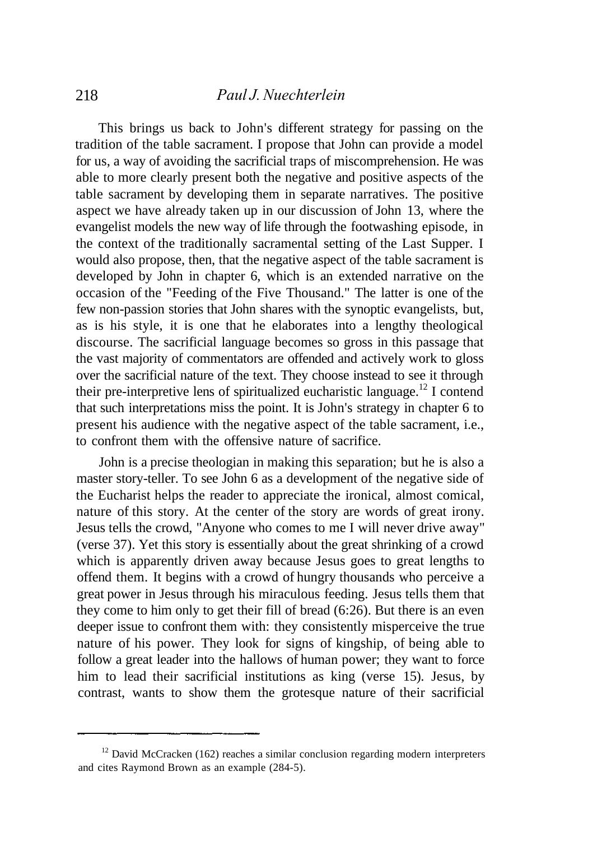## 218 *Paul J. Nuechterlein*

This brings us back to John's different strategy for passing on the tradition of the table sacrament. I propose that John can provide a model for us, a way of avoiding the sacrificial traps of miscomprehension. He was able to more clearly present both the negative and positive aspects of the table sacrament by developing them in separate narratives. The positive aspect we have already taken up in our discussion of John 13, where the evangelist models the new way of life through the footwashing episode, in the context of the traditionally sacramental setting of the Last Supper. I would also propose, then, that the negative aspect of the table sacrament is developed by John in chapter 6, which is an extended narrative on the occasion of the "Feeding of the Five Thousand." The latter is one of the few non-passion stories that John shares with the synoptic evangelists, but, as is his style, it is one that he elaborates into a lengthy theological discourse. The sacrificial language becomes so gross in this passage that the vast majority of commentators are offended and actively work to gloss over the sacrificial nature of the text. They choose instead to see it through their pre-interpretive lens of spiritualized eucharistic language.<sup>12</sup> I contend that such interpretations miss the point. It is John's strategy in chapter 6 to present his audience with the negative aspect of the table sacrament, i.e., to confront them with the offensive nature of sacrifice.

John is a precise theologian in making this separation; but he is also a master story-teller. To see John 6 as a development of the negative side of the Eucharist helps the reader to appreciate the ironical, almost comical, nature of this story. At the center of the story are words of great irony. Jesus tells the crowd, "Anyone who comes to me I will never drive away" (verse 37). Yet this story is essentially about the great shrinking of a crowd which is apparently driven away because Jesus goes to great lengths to offend them. It begins with a crowd of hungry thousands who perceive a great power in Jesus through his miraculous feeding. Jesus tells them that they come to him only to get their fill of bread (6:26). But there is an even deeper issue to confront them with: they consistently misperceive the true nature of his power. They look for signs of kingship, of being able to follow a great leader into the hallows of human power; they want to force him to lead their sacrificial institutions as king (verse 15). Jesus, by contrast, wants to show them the grotesque nature of their sacrificial

 $12$  David McCracken (162) reaches a similar conclusion regarding modern interpreters and cites Raymond Brown as an example (284-5).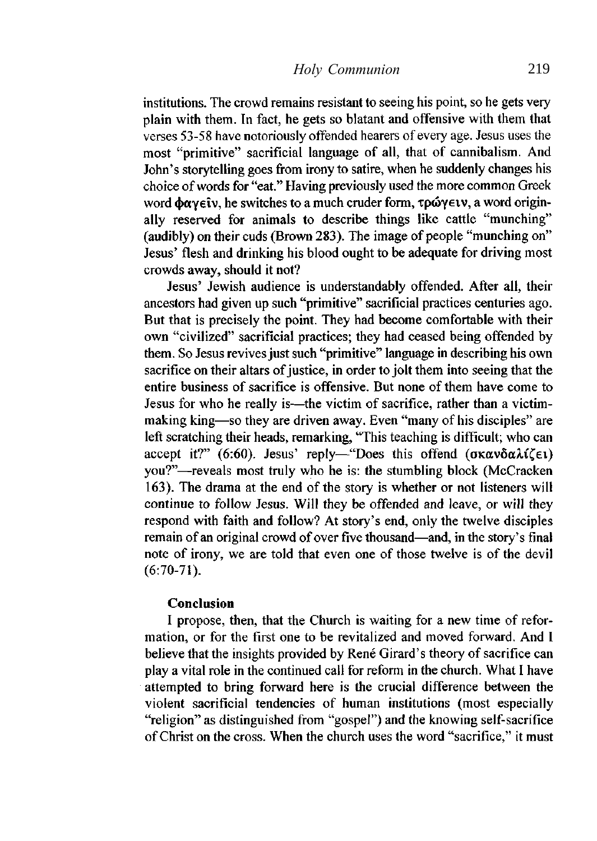institutions. The crowd remains resistant to seeing his point, so he gets very plain with them. In fact, he gets so blatant and offensive with them that verses 53-58 have notoriously offended hearers of every age. Jesus uses the most "primitive" sacrificial language of all, that of cannibalism. And John's storytelling goes from irony to satire, when he suddenly changes his choice of words for "eat." Having previously used the more common Greek word  $\phi \alpha \gamma \epsilon \nu$ , he switches to a much cruder form,  $\tau \rho \omega \gamma \epsilon \nu$ , a word originally reserved for animals to describe things like cattle "munching" (audibly) on their cuds (Brown 283). The image of people "munching on" Jesus' flesh and drinking his blood ought to be adequate for driving most crowds away, should it not?

Jesus' Jewish audience is understandably offended. After all, their<br>ancestors had given up such "primitive" sacrificial practices centuries ago. But that is precisely the point. They had become comfortable with their own "civilized" sacrificial practices; they had ceased being offended by them. So Jesus revives just such "primitive" language in describing his own sacrifice on their altars of justice, in order to jolt them into seeing that the entire business of sacrifice is offensive. But none of them have come to Jesus for who he really is—the victim of sacrifice, rather than a victimmaking king-so they are driven away. Even "many of his disciples" are left scratching their heads, remarking, "This teaching is difficult; who can<br>accept it?" (6:60). Jesus' reply—"Does this offend ( $\sigma$ κανδαλίζει) you?"-reveals most truly who he is: the stumbling block (McCracken 163). The drama at the end of the story is whether or not listeners will continue to follow Jesus. Will they be offended and leave, or will they respond with faith and follow? At story's end, only the twelve disciples<br>remain of an original crowd of over five thousand—and, in the story's final note of irony, we are told that even one of those twelve is of the devil  $(6:70-71)$ .

#### Conclusion

I propose, then, that the Church is waiting for a new time of reformation, or for the first one to be revitalized and moved forward. And I believe that the insights provided by René Girard's theory of sacrifice can play a vital role in the continued call for reform in the church. What I have attempted to bring forward here is the crucial difference between the violent sacrificial tendencies of human institutions (most especially "religion" as distinguished from "gospel") and the knowing self-sacrifice<br>of Christ on the cross. When the church uses the word "sacrifice," it must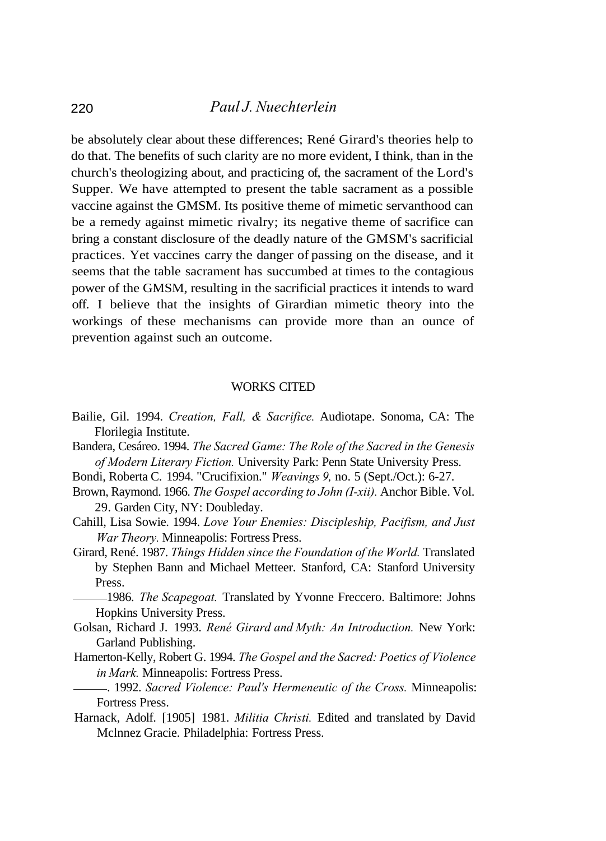be absolutely clear about these differences; René Girard's theories help to do that. The benefits of such clarity are no more evident, I think, than in the church's theologizing about, and practicing of, the sacrament of the Lord's Supper. We have attempted to present the table sacrament as a possible vaccine against the GMSM. Its positive theme of mimetic servanthood can be a remedy against mimetic rivalry; its negative theme of sacrifice can bring a constant disclosure of the deadly nature of the GMSM's sacrificial practices. Yet vaccines carry the danger of passing on the disease, and it seems that the table sacrament has succumbed at times to the contagious power of the GMSM, resulting in the sacrificial practices it intends to ward off. I believe that the insights of Girardian mimetic theory into the workings of these mechanisms can provide more than an ounce of prevention against such an outcome.

#### WORKS CITED

- Bailie, Gil. 1994. *Creation, Fall, & Sacrifice.* Audiotape. Sonoma, CA: The Florilegia Institute.
- Bandera, Cesáreo. 1994. *The Sacred Game: The Role of the Sacred in the Genesis of Modern Literary Fiction.* University Park: Penn State University Press.
- Bondi, Roberta C. 1994. "Crucifixion." *Weavings 9,* no. 5 (Sept./Oct.): 6-27.
- Brown, Raymond. 1966. *The Gospel according to John (I-xii).* Anchor Bible. Vol. 29. Garden City, NY: Doubleday.
- Cahill, Lisa Sowie. 1994. *Love Your Enemies: Discipleship, Pacifism, and Just War Theory.* Minneapolis: Fortress Press.
- Girard, René. 1987. *Things Hidden since the Foundation of the World.* Translated by Stephen Bann and Michael Metteer. Stanford, CA: Stanford University Press.
	- 1986. *The Scapegoat.* Translated by Yvonne Freccero. Baltimore: Johns Hopkins University Press.
- Golsan, Richard J. 1993. *René Girard and Myth: An Introduction.* New York: Garland Publishing.
- Hamerton-Kelly, Robert G. 1994. *The Gospel and the Sacred: Poetics of Violence in Mark.* Minneapolis: Fortress Press.
- . 1992. *Sacred Violence: Paul's Hermeneutic of the Cross.* Minneapolis: Fortress Press.
- Harnack, Adolf. [1905] 1981. *Militia Christi.* Edited and translated by David Mclnnez Gracie. Philadelphia: Fortress Press.